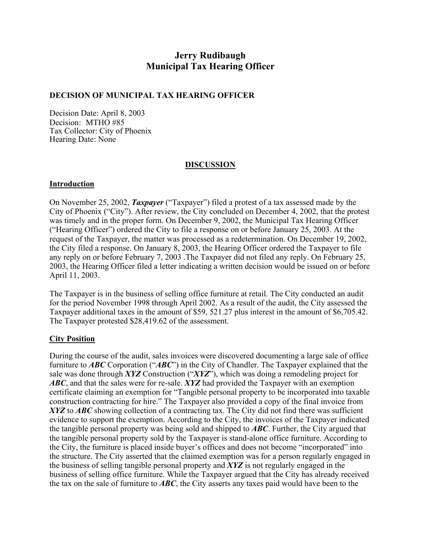# **Jerry Rudibaugh Municipal Tax Hearing Officer**

#### **DECISION OF MUNICIPAL TAX HEARING OFFICER**

Decision Date: April 8, 2003 Decision: MTHO #85 Tax Collector: City of Phoenix Hearing Date: None

## **DISCUSSION**

#### **Introduction**

On November 25, 2002, *Taxpayer* ("Taxpayer") filed a protest of a tax assessed made by the City of Phoenix ("City"). After review, the City concluded on December 4, 2002, that the protest was timely and in the proper form. On December 9, 2002, the Municipal Tax Hearing Officer ("Hearing Officer") ordered the City to file a response on or before January 25, 2003. At the request of the Taxpayer, the matter was processed as a redetermination. On December 19, 2002, the City filed a response. On January 8, 2003, the Hearing Officer ordered the Taxpayer to file any reply on or before February 7, 2003 .The Taxpayer did not filed any reply. On February 25, 2003, the Hearing Officer filed a letter indicating a written decision would be issued on or before April 11, 2003.

The Taxpayer is in the business of selling office furniture at retail. The City conducted an audit for the period November 1998 through April 2002. As a result of the audit, the City assessed the Taxpayer additional taxes in the amount of \$59, 521.27 plus interest in the amount of \$6,705.42. The Taxpayer protested \$28,419.62 of the assessment.

## **City Position**

During the course of the audit, sales invoices were discovered documenting a large sale of office furniture to *ABC* Corporation ("*ABC*") in the City of Chandler. The Taxpayer explained that the sale was done through *XYZ* Construction ("*XYZ*"), which was doing a remodeling project for *ABC*, and that the sales were for re-sale. *XYZ* had provided the Taxpayer with an exemption certificate claiming an exemption for "Tangible personal property to be incorporated into taxable construction contracting for hire." The Taxpayer also provided a copy of the final invoice from *XYZ* to *ABC* showing collection of a contracting tax. The City did not find there was sufficient evidence to support the exemption. According to the City, the invoices of the Taxpayer indicated the tangible personal property was being sold and shipped to *ABC*. Further, the City argued that the tangible personal property sold by the Taxpayer is stand-alone office furniture. According to the City, the furniture is placed inside buyer's offices and does not become "incorporated" into the structure. The City asserted that the claimed exemption was for a person regularly engaged in the business of selling tangible personal property and *XYZ* is not regularly engaged in the business of selling office furniture. While the Taxpayer argued that the City has already received the tax on the sale of furniture to *ABC*, the City asserts any taxes paid would have been to the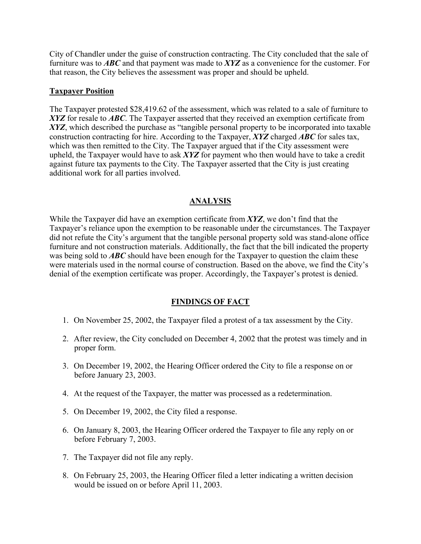City of Chandler under the guise of construction contracting. The City concluded that the sale of furniture was to *ABC* and that payment was made to *XYZ* as a convenience for the customer. For that reason, the City believes the assessment was proper and should be upheld.

#### **Taxpayer Position**

The Taxpayer protested \$28,419.62 of the assessment, which was related to a sale of furniture to *XYZ* for resale to *ABC*. The Taxpayer asserted that they received an exemption certificate from XYZ, which described the purchase as "tangible personal property to be incorporated into taxable construction contracting for hire. According to the Taxpayer, *XYZ* charged *ABC* for sales tax, which was then remitted to the City. The Taxpayer argued that if the City assessment were upheld, the Taxpayer would have to ask *XYZ* for payment who then would have to take a credit against future tax payments to the City. The Taxpayer asserted that the City is just creating additional work for all parties involved.

## **ANALYSIS**

While the Taxpayer did have an exemption certificate from *XYZ*, we don't find that the Taxpayer's reliance upon the exemption to be reasonable under the circumstances. The Taxpayer did not refute the City's argument that the tangible personal property sold was stand-alone office furniture and not construction materials. Additionally, the fact that the bill indicated the property was being sold to **ABC** should have been enough for the Taxpayer to question the claim these were materials used in the normal course of construction. Based on the above, we find the City's denial of the exemption certificate was proper. Accordingly, the Taxpayer's protest is denied.

# **FINDINGS OF FACT**

- 1. On November 25, 2002, the Taxpayer filed a protest of a tax assessment by the City.
- 2. After review, the City concluded on December 4, 2002 that the protest was timely and in proper form.
- 3. On December 19, 2002, the Hearing Officer ordered the City to file a response on or before January 23, 2003.
- 4. At the request of the Taxpayer, the matter was processed as a redetermination.
- 5. On December 19, 2002, the City filed a response.
- 6. On January 8, 2003, the Hearing Officer ordered the Taxpayer to file any reply on or before February 7, 2003.
- 7. The Taxpayer did not file any reply.
- 8. On February 25, 2003, the Hearing Officer filed a letter indicating a written decision would be issued on or before April 11, 2003.